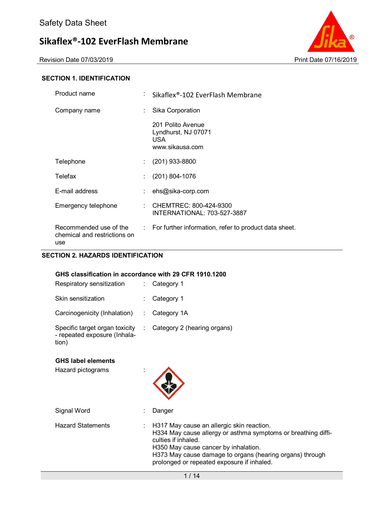Revision Date 07/03/2019 **Print Date 07/16/2019** 



### **SECTION 1. IDENTIFICATION**

| Product name                                                  | t. | Sikaflex®-102 EverFlash Membrane                                          |
|---------------------------------------------------------------|----|---------------------------------------------------------------------------|
| Company name                                                  | ÷. | Sika Corporation                                                          |
|                                                               |    | 201 Polito Avenue<br>Lyndhurst, NJ 07071<br><b>USA</b><br>www.sikausa.com |
| Telephone                                                     | t. | $(201)$ 933-8800                                                          |
| Telefax                                                       | t. | $(201) 804 - 1076$                                                        |
| E-mail address                                                |    | ehs@sika-corp.com                                                         |
| Emergency telephone                                           |    | CHEMTREC: 800-424-9300<br>INTERNATIONAL: 703-527-3887                     |
| Recommended use of the<br>chemical and restrictions on<br>use |    | : For further information, refer to product data sheet.                   |

# **SECTION 2. HAZARDS IDENTIFICATION**

#### **GHS classification in accordance with 29 CFR 1910.1200**

| Respiratory sensitization                                               | $:$ Category 1                |
|-------------------------------------------------------------------------|-------------------------------|
| Skin sensitization                                                      | $:$ Category 1                |
| Carcinogenicity (Inhalation)                                            | $:$ Category 1A               |
| Specific target organ toxicity<br>- repeated exposure (Inhala-<br>tion) | : Category 2 (hearing organs) |

#### **GHS label elements**

Hazard pictograms :



| Signal Word       | Danger                                                                                                                                                                                                                                                                                           |
|-------------------|--------------------------------------------------------------------------------------------------------------------------------------------------------------------------------------------------------------------------------------------------------------------------------------------------|
| Hazard Statements | $\therefore$ H317 May cause an allergic skin reaction.<br>H334 May cause allergy or asthma symptoms or breathing diffi-<br>culties if inhaled.<br>H350 May cause cancer by inhalation.<br>H373 May cause damage to organs (hearing organs) through<br>prolonged or repeated exposure if inhaled. |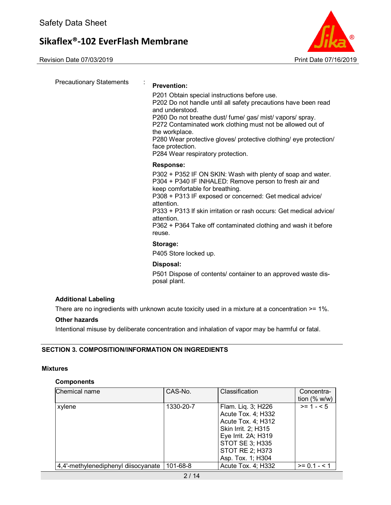Revision Date 07/03/2019 Print Date 07/16/2019



Precautionary Statements : **Prevention:**  P201 Obtain special instructions before use. P202 Do not handle until all safety precautions have been read and understood. P260 Do not breathe dust/ fume/ gas/ mist/ vapors/ spray. P272 Contaminated work clothing must not be allowed out of the workplace. P280 Wear protective gloves/ protective clothing/ eye protection/ face protection. P284 Wear respiratory protection. **Response:**  P302 + P352 IF ON SKIN: Wash with plenty of soap and water. P304 + P340 IF INHALED: Remove person to fresh air and keep comfortable for breathing. P308 + P313 IF exposed or concerned: Get medical advice/ attention. P333 + P313 If skin irritation or rash occurs: Get medical advice/ attention. P362 + P364 Take off contaminated clothing and wash it before reuse. **Storage:**  P405 Store locked up. **Disposal:**  P501 Dispose of contents/ container to an approved waste disposal plant.

# **Additional Labeling**

There are no ingredients with unknown acute toxicity used in a mixture at a concentration >= 1%.

### **Other hazards**

Intentional misuse by deliberate concentration and inhalation of vapor may be harmful or fatal.

# **SECTION 3. COMPOSITION/INFORMATION ON INGREDIENTS**

### **Mixtures**

### **Components**

| Chemical name                       | CAS-No.   | Classification                                                                                                                                                                 | Concentra-<br>tion $(%$ w/w) |
|-------------------------------------|-----------|--------------------------------------------------------------------------------------------------------------------------------------------------------------------------------|------------------------------|
| xylene                              | 1330-20-7 | Flam. Liq. 3; H226<br>Acute Tox. 4; H332<br>Acute Tox. 4; H312<br>Skin Irrit. 2; H315<br>Eye Irrit. 2A; H319<br><b>STOT SE 3; H335</b><br>STOT RE 2; H373<br>Asp. Tox. 1; H304 | $>= 1 - 5$                   |
| 4,4'-methylenediphenyl diisocyanate | 101-68-8  | Acute Tox. 4; H332                                                                                                                                                             | $>= 0.1 - 1.1$               |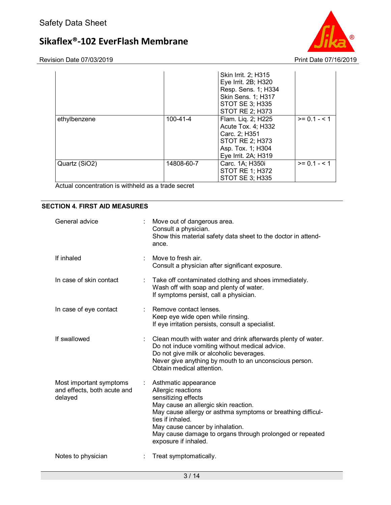

Revision Date 07/03/2019 **Print Date 07/16/2019** 

|               |            | Skin Irrit. 2; H315<br>Eye Irrit. 2B; H320<br>Resp. Sens. 1; H334<br>Skin Sens. 1; H317<br>STOT SE 3; H335<br>STOT RE 2; H373 |                |
|---------------|------------|-------------------------------------------------------------------------------------------------------------------------------|----------------|
| ethylbenzene  | 100-41-4   | Flam. Lig. 2; H225<br>Acute Tox. 4; H332<br>Carc. 2; H351<br>STOT RE 2; H373<br>Asp. Tox. 1; H304<br>Eye Irrit. 2A; H319      | $>= 0.1 - 1$   |
| Quartz (SiO2) | 14808-60-7 | Carc. 1A; H350i<br><b>STOT RE 1; H372</b><br><b>STOT SE 3; H335</b>                                                           | $>= 0.1 - 5.1$ |

Actual concentration is withheld as a trade secret

### **SECTION 4. FIRST AID MEASURES**

| General advice                                                    | t. | Move out of dangerous area.<br>Consult a physician.<br>Show this material safety data sheet to the doctor in attend-<br>ance.                                                                                                                                                                                       |
|-------------------------------------------------------------------|----|---------------------------------------------------------------------------------------------------------------------------------------------------------------------------------------------------------------------------------------------------------------------------------------------------------------------|
| If inhaled                                                        |    | Move to fresh air.<br>Consult a physician after significant exposure.                                                                                                                                                                                                                                               |
| In case of skin contact                                           |    | Take off contaminated clothing and shoes immediately.<br>Wash off with soap and plenty of water.<br>If symptoms persist, call a physician.                                                                                                                                                                          |
| In case of eye contact                                            |    | Remove contact lenses.<br>Keep eye wide open while rinsing.<br>If eye irritation persists, consult a specialist.                                                                                                                                                                                                    |
| If swallowed                                                      |    | Clean mouth with water and drink afterwards plenty of water.<br>Do not induce vomiting without medical advice.<br>Do not give milk or alcoholic beverages.<br>Never give anything by mouth to an unconscious person.<br>Obtain medical attention.                                                                   |
| Most important symptoms<br>and effects, both acute and<br>delayed | ÷. | Asthmatic appearance<br>Allergic reactions<br>sensitizing effects<br>May cause an allergic skin reaction.<br>May cause allergy or asthma symptoms or breathing difficul-<br>ties if inhaled.<br>May cause cancer by inhalation.<br>May cause damage to organs through prolonged or repeated<br>exposure if inhaled. |
| Notes to physician                                                |    | Treat symptomatically.                                                                                                                                                                                                                                                                                              |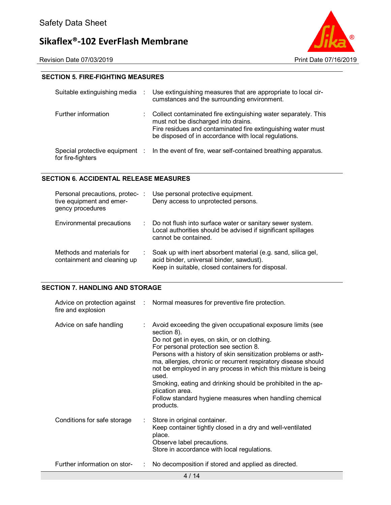

### **SECTION 5. FIRE-FIGHTING MEASURES**

| Suitable extinguishing media                        |    | Use extinguishing measures that are appropriate to local cir-<br>cumstances and the surrounding environment.                                                                                                                  |
|-----------------------------------------------------|----|-------------------------------------------------------------------------------------------------------------------------------------------------------------------------------------------------------------------------------|
| Further information                                 | ÷. | Collect contaminated fire extinguishing water separately. This<br>must not be discharged into drains.<br>Fire residues and contaminated fire extinguishing water must<br>be disposed of in accordance with local regulations. |
| Special protective equipment :<br>for fire-fighters |    | In the event of fire, wear self-contained breathing apparatus.                                                                                                                                                                |

### **SECTION 6. ACCIDENTAL RELEASE MEASURES**

| Personal precautions, protec-:<br>tive equipment and emer-<br>gency procedures | Use personal protective equipment.<br>Deny access to unprotected persons.                                                                                      |
|--------------------------------------------------------------------------------|----------------------------------------------------------------------------------------------------------------------------------------------------------------|
| Environmental precautions                                                      | : Do not flush into surface water or sanitary sewer system.<br>Local authorities should be advised if significant spillages<br>cannot be contained.            |
| Methods and materials for<br>containment and cleaning up                       | Soak up with inert absorbent material (e.g. sand, silica gel,<br>acid binder, universal binder, sawdust).<br>Keep in suitable, closed containers for disposal. |

### **SECTION 7. HANDLING AND STORAGE**

| fire and explosion                | Advice on protection against : Normal measures for preventive fire protection.                                                                                                                                                                                                                                                                                                                                                                                                                                                                  |
|-----------------------------------|-------------------------------------------------------------------------------------------------------------------------------------------------------------------------------------------------------------------------------------------------------------------------------------------------------------------------------------------------------------------------------------------------------------------------------------------------------------------------------------------------------------------------------------------------|
| Advice on safe handling           | : Avoid exceeding the given occupational exposure limits (see<br>section 8).<br>Do not get in eyes, on skin, or on clothing.<br>For personal protection see section 8.<br>Persons with a history of skin sensitization problems or asth-<br>ma, allergies, chronic or recurrent respiratory disease should<br>not be employed in any process in which this mixture is being<br>used.<br>Smoking, eating and drinking should be prohibited in the ap-<br>plication area.<br>Follow standard hygiene measures when handling chemical<br>products. |
| Conditions for safe storage<br>÷. | Store in original container.<br>Keep container tightly closed in a dry and well-ventilated<br>place.<br>Observe label precautions.<br>Store in accordance with local regulations.                                                                                                                                                                                                                                                                                                                                                               |
| Further information on stor-<br>÷ | No decomposition if stored and applied as directed.                                                                                                                                                                                                                                                                                                                                                                                                                                                                                             |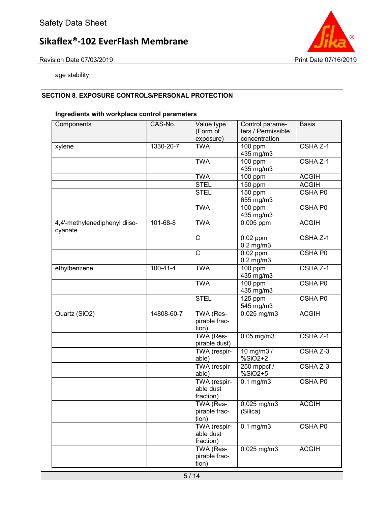Revision Date 07/03/2019 **Revision Date 07/16/2019** 



age stability

# **SECTION 8. EXPOSURE CONTROLS/PERSONAL PROTECTION**

# **Ingredients with workplace control parameters**

| Components                               | CAS-No.        | Value type<br>(Form of                 | Control parame-<br>ters / Permissible | <b>Basis</b>        |
|------------------------------------------|----------------|----------------------------------------|---------------------------------------|---------------------|
|                                          | 1330-20-7      | exposure)<br><b>TWA</b>                | concentration                         | OSHA Z-1            |
| xylene                                   |                |                                        | 100 ppm<br>435 mg/m3                  |                     |
|                                          |                | <b>TWA</b>                             | $\overline{100}$ ppm                  | OSHA Z-1            |
|                                          |                |                                        | 435 mg/m3                             |                     |
|                                          |                | <b>TWA</b>                             | 100 ppm                               | <b>ACGIH</b>        |
|                                          |                | <b>STEL</b>                            | 150 ppm                               | <b>ACGIH</b>        |
|                                          |                | <b>STEL</b>                            | 150 ppm                               | <b>OSHA P0</b>      |
|                                          |                |                                        | 655 mg/m3                             |                     |
|                                          |                | <b>TWA</b>                             | $\overline{100}$ ppm<br>435 mg/m3     | <b>OSHA P0</b>      |
| 4,4'-methylenediphenyl diiso-<br>cyanate | 101-68-8       | <b>TWA</b>                             | 0.005 ppm                             | <b>ACGIH</b>        |
|                                          |                | $\mathsf{C}$                           | $0.02$ ppm<br>$0.2$ mg/m $3$          | OSHA <sub>Z-1</sub> |
|                                          |                | $\mathsf{C}$                           | $0.02$ ppm<br>$0.2$ mg/m $3$          | OSHA P0             |
| ethylbenzene                             | $100 - 41 - 4$ | <b>TWA</b>                             | 100 ppm<br>435 mg/m3                  | OSHA <sub>Z-1</sub> |
|                                          |                | <b>TWA</b>                             | 100 ppm<br>435 mg/m3                  | <b>OSHA P0</b>      |
|                                          |                | <b>STEL</b>                            | 125 ppm<br>545 mg/m3                  | OSHA P0             |
| Quartz (SiO2)                            | 14808-60-7     | TWA (Res-<br>pirable frac-<br>tion)    | $0.025$ mg/m3                         | <b>ACGIH</b>        |
|                                          |                | TWA (Res-<br>pirable dust)             | $0.05$ mg/m3                          | OSHA Z-1            |
|                                          |                | TWA (respir-<br>able)                  | 10 mg/m3/<br>%SiO2+2                  | OSHA Z-3            |
|                                          |                | TWA (respir-<br>able)                  | 250 mppcf /<br>$%SiO2+5$              | OSHA Z-3            |
|                                          |                | TWA (respir-<br>able dust<br>fraction) | $0.1$ mg/m $3$                        | <b>OSHA P0</b>      |
|                                          |                | TWA (Res-<br>pirable frac-<br>tion)    | $0.025$ mg/m3<br>(Silica)             | <b>ACGIH</b>        |
|                                          |                | TWA (respir-<br>able dust<br>fraction) | $0.1$ mg/m $3$                        | OSHA P0             |
|                                          |                | TWA (Res-<br>pirable frac-<br>tion)    | $0.025$ mg/m $3$                      | <b>ACGIH</b>        |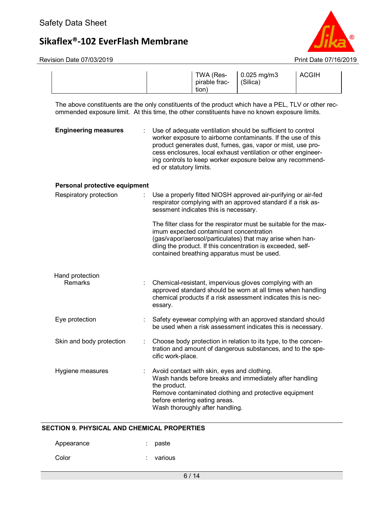

|                                                                                                                                                                                                     |  |                         | TWA (Res-<br>pirable frac-<br>tion)                                                                             | $0.025$ mg/m3<br>(Silica)                                                                                                                                                                                                                                                                                                | <b>ACGIH</b> |
|-----------------------------------------------------------------------------------------------------------------------------------------------------------------------------------------------------|--|-------------------------|-----------------------------------------------------------------------------------------------------------------|--------------------------------------------------------------------------------------------------------------------------------------------------------------------------------------------------------------------------------------------------------------------------------------------------------------------------|--------------|
| The above constituents are the only constituents of the product which have a PEL, TLV or other rec-<br>ommended exposure limit. At this time, the other constituents have no known exposure limits. |  |                         |                                                                                                                 |                                                                                                                                                                                                                                                                                                                          |              |
| <b>Engineering measures</b>                                                                                                                                                                         |  | ed or statutory limits. |                                                                                                                 | Use of adequate ventilation should be sufficient to control<br>worker exposure to airborne contaminants. If the use of this<br>product generates dust, fumes, gas, vapor or mist, use pro-<br>cess enclosures, local exhaust ventilation or other engineer-<br>ing controls to keep worker exposure below any recommend- |              |
| Personal protective equipment                                                                                                                                                                       |  |                         |                                                                                                                 |                                                                                                                                                                                                                                                                                                                          |              |
| Respiratory protection                                                                                                                                                                              |  |                         | sessment indicates this is necessary.                                                                           | Use a properly fitted NIOSH approved air-purifying or air-fed<br>respirator complying with an approved standard if a risk as-                                                                                                                                                                                            |              |
|                                                                                                                                                                                                     |  |                         | imum expected contaminant concentration<br>contained breathing apparatus must be used.                          | The filter class for the respirator must be suitable for the max-<br>(gas/vapor/aerosol/particulates) that may arise when han-<br>dling the product. If this concentration is exceeded, self-                                                                                                                            |              |
|                                                                                                                                                                                                     |  |                         |                                                                                                                 |                                                                                                                                                                                                                                                                                                                          |              |
| Hand protection<br>Remarks                                                                                                                                                                          |  | essary.                 |                                                                                                                 | Chemical-resistant, impervious gloves complying with an<br>approved standard should be worn at all times when handling<br>chemical products if a risk assessment indicates this is nec-                                                                                                                                  |              |
| Eye protection                                                                                                                                                                                      |  |                         |                                                                                                                 | Safety eyewear complying with an approved standard should<br>be used when a risk assessment indicates this is necessary.                                                                                                                                                                                                 |              |
| Skin and body protection                                                                                                                                                                            |  | cific work-place.       |                                                                                                                 | Choose body protection in relation to its type, to the concen-<br>tration and amount of dangerous substances, and to the spe-                                                                                                                                                                                            |              |
| Hygiene measures                                                                                                                                                                                    |  | the product.            | Avoid contact with skin, eyes and clothing.<br>before entering eating areas.<br>Wash thoroughly after handling. | Wash hands before breaks and immediately after handling<br>Remove contaminated clothing and protective equipment                                                                                                                                                                                                         |              |

### **SECTION 9. PHYSICAL AND CHEMICAL PROPERTIES**

| Appearance | : paste   |
|------------|-----------|
| Color      | : various |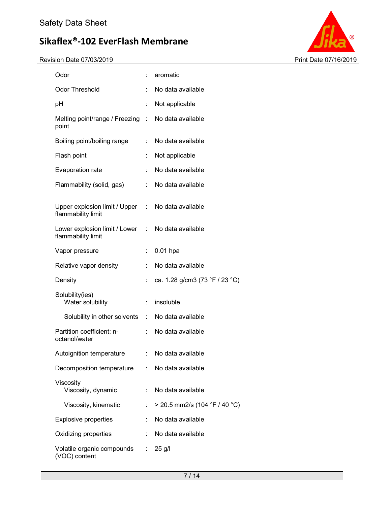

| Odor                                                                    |                | aromatic                        |
|-------------------------------------------------------------------------|----------------|---------------------------------|
| <b>Odor Threshold</b>                                                   | ÷              | No data available               |
| рH                                                                      | ÷              | Not applicable                  |
| Melting point/range / Freezing : No data available<br>point             |                |                                 |
| Boiling point/boiling range                                             |                | : No data available             |
| Flash point                                                             | ÷              | Not applicable                  |
| Evaporation rate                                                        | ÷              | No data available               |
| Flammability (solid, gas)                                               |                | : No data available             |
| Upper explosion limit / Upper : No data available<br>flammability limit |                |                                 |
| Lower explosion limit / Lower : No data available<br>flammability limit |                |                                 |
| Vapor pressure                                                          | t.             | $0.01$ hpa                      |
| Relative vapor density                                                  | ÷.             | No data available               |
| Density                                                                 | ÷              | ca. 1.28 g/cm3 (73 °F / 23 °C)  |
| Solubility(ies)<br>Water solubility                                     | $\mathbb{R}^n$ | insoluble                       |
| Solubility in other solvents : No data available                        |                |                                 |
| Partition coefficient: n-<br>octanol/water                              |                | : No data available             |
| Autoignition temperature                                                |                | : No data available             |
| Decomposition temperature                                               |                | : No data available             |
| Viscosity<br>Viscosity, dynamic                                         | ÷              | No data available               |
| Viscosity, kinematic                                                    | ÷              | $>$ 20.5 mm2/s (104 °F / 40 °C) |
| Explosive properties                                                    | t.             | No data available               |
| Oxidizing properties                                                    | ÷              | No data available               |
| Volatile organic compounds<br>(VOC) content                             |                | $\therefore$ 25 g/l             |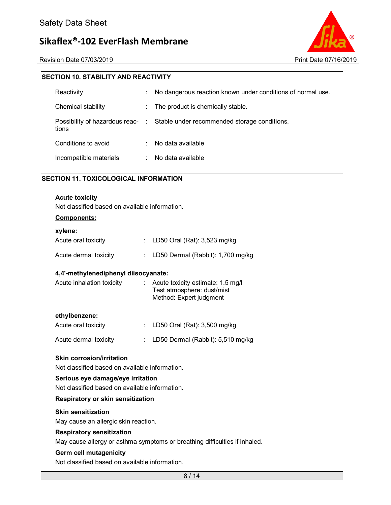Revision Date 07/03/2019 Print Date 07/16/2019



### **SECTION 10. STABILITY AND REACTIVITY**

| Reactivity             | ÷ | No dangerous reaction known under conditions of normal use.                   |
|------------------------|---|-------------------------------------------------------------------------------|
| Chemical stability     | ÷ | The product is chemically stable.                                             |
| tions                  |   | Possibility of hazardous reac- : Stable under recommended storage conditions. |
| Conditions to avoid    | ٠ | No data available                                                             |
| Incompatible materials |   | No data available                                                             |

### **SECTION 11. TOXICOLOGICAL INFORMATION**

#### **Acute toxicity**

Not classified based on available information.

#### **Components:**

| xylene:               |  |                                     |  |  |  |  |
|-----------------------|--|-------------------------------------|--|--|--|--|
| Acute oral toxicity   |  | : LD50 Oral (Rat): $3,523$ mg/kg    |  |  |  |  |
| Acute dermal toxicity |  | : LD50 Dermal (Rabbit): 1,700 mg/kg |  |  |  |  |

#### **4,4'-methylenediphenyl diisocyanate:**

| Acute inhalation toxicity | $\therefore$ Acute toxicity estimate: 1.5 mg/l<br>Test atmosphere: dust/mist<br>Method: Expert judgment |
|---------------------------|---------------------------------------------------------------------------------------------------------|
|                           |                                                                                                         |

#### **ethylbenzene:**

| Acute oral toxicity   | : LD50 Oral (Rat): $3,500$ mg/kg    |
|-----------------------|-------------------------------------|
| Acute dermal toxicity | : LD50 Dermal (Rabbit): 5,510 mg/kg |

#### **Skin corrosion/irritation**

Not classified based on available information.

#### **Serious eye damage/eye irritation**

Not classified based on available information.

#### **Respiratory or skin sensitization**

#### **Skin sensitization**

May cause an allergic skin reaction.

#### **Respiratory sensitization**

May cause allergy or asthma symptoms or breathing difficulties if inhaled.

#### **Germ cell mutagenicity**

Not classified based on available information.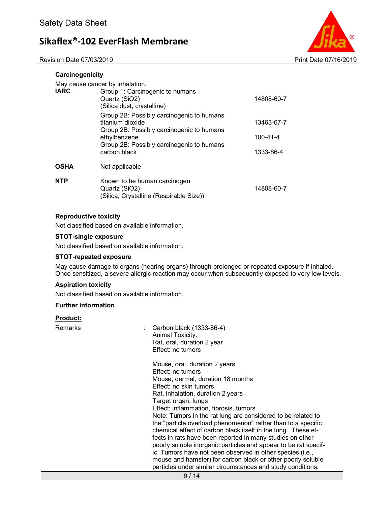Revision Date 07/03/2019 Print Date 07/16/2019



| Carcinogenicity |                                                                                                                                                                                         |                                     |
|-----------------|-----------------------------------------------------------------------------------------------------------------------------------------------------------------------------------------|-------------------------------------|
| <b>IARC</b>     | May cause cancer by inhalation.<br>Group 1: Carcinogenic to humans<br>Quartz (SiO2)<br>(Silica dust, crystalline)                                                                       | 14808-60-7                          |
|                 | Group 2B: Possibly carcinogenic to humans<br>titanium dioxide<br>Group 2B: Possibly carcinogenic to humans<br>ethylbenzene<br>Group 2B: Possibly carcinogenic to humans<br>carbon black | 13463-67-7<br>100-41-4<br>1333-86-4 |
| <b>OSHA</b>     | Not applicable                                                                                                                                                                          |                                     |
| <b>NTP</b>      | Known to be human carcinogen<br>Quartz (SiO2)<br>(Silica, Crystalline (Respirable Size))                                                                                                | 14808-60-7                          |

#### **Reproductive toxicity**

Not classified based on available information.

#### **STOT-single exposure**

Not classified based on available information.

#### **STOT-repeated exposure**

May cause damage to organs (hearing organs) through prolonged or repeated exposure if inhaled. Once sensitized, a severe allergic reaction may occur when subsequently exposed to very low levels.

#### **Aspiration toxicity**

Not classified based on available information.

#### **Further information**

#### **Product:**

Remarks : Carbon black (1333-86-4) Animal Toxicity: Rat, oral, duration 2 year Effect: no tumors

> Mouse, oral, duration 2 years Effect: no tumors Mouse, dermal, duration 18 months Effect: no skin tumors Rat, inhalation, duration 2 years Target organ: lungs Effect: inflammation, fibrosis, tumors Note: Tumors in the rat lung are considered to be related to the "particle overload phenomenon" rather than to a specific chemical effect of carbon black itself in the lung. These effects in rats have been reported in many studies on other poorly soluble inorganic particles and appear to be rat specific. Tumors have not been observed in other species (i.e., mouse and hamster) for carbon black or other poorly soluble particles under similar circumstances and study conditions.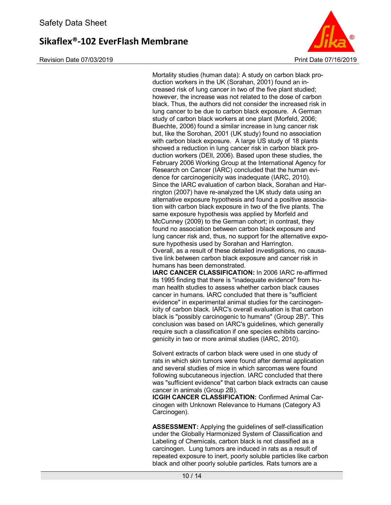Revision Date 07/03/2019 Print Date 07/16/2019



Mortality studies (human data): A study on carbon black production workers in the UK (Sorahan, 2001) found an increased risk of lung cancer in two of the five plant studied; however, the increase was not related to the dose of carbon black. Thus, the authors did not consider the increased risk in lung cancer to be due to carbon black exposure. A German study of carbon black workers at one plant (Morfeld, 2006; Buechte, 2006) found a similar increase in lung cancer risk but, like the Sorohan, 2001 (UK study) found no association with carbon black exposure. A large US study of 18 plants showed a reduction in lung cancer risk in carbon black production workers (DEll, 2006). Based upon these studies, the February 2006 Working Group at the International Agency for Research on Cancer (IARC) concluded that the human evidence for carcinogenicity was inadequate (IARC, 2010). Since the IARC evaluation of carbon black, Sorahan and Harrington (2007) have re-analyzed the UK study data using an alternative exposure hypothesis and found a positive association with carbon black exposure in two of the five plants. The same exposure hypothesis was applied by Morfeld and McCunney (2009) to the German cohort; in contrast, they found no association between carbon black exposure and lung cancer risk and, thus, no support for the alternative exposure hypothesis used by Sorahan and Harrington. Overall, as a result of these detailed investigations, no causative link between carbon black exposure and cancer risk in humans has been demonstrated.

**IARC CANCER CLASSIFICATION:** In 2006 IARC re-affirmed its 1995 finding that there is "inadequate evidence" from human health studies to assess whether carbon black causes cancer in humans. IARC concluded that there is "sufficient evidence" in experimental animal studies for the carcinogenicity of carbon black. IARC's overall evaluation is that carbon black is "possibly carcinogenic to humans" (Group 2B)". This conclusion was based on IARC's guidelines, which generally require such a classification if one species exhibits carcinogenicity in two or more animal studies (IARC, 2010).

Solvent extracts of carbon black were used in one study of rats in which skin tumors were found after dermal application and several studies of mice in which sarcomas were found following subcutaneous injection. IARC concluded that there was "sufficient evidence" that carbon black extracts can cause cancer in animals (Group 2B).

**ICGIH CANCER CLASSIFICATION:** Confirmed Animal Carcinogen with Unknown Relevance to Humans (Category A3 Carcinogen).

**ASSESSMENT:** Applying the guidelines of self-classification under the Globally Harmonized System of Classification and Labeling of Chemicals, carbon black is not classified as a carcinogen. Lung tumors are induced in rats as a result of repeated exposure to inert, poorly soluble particles like carbon black and other poorly soluble particles. Rats tumors are a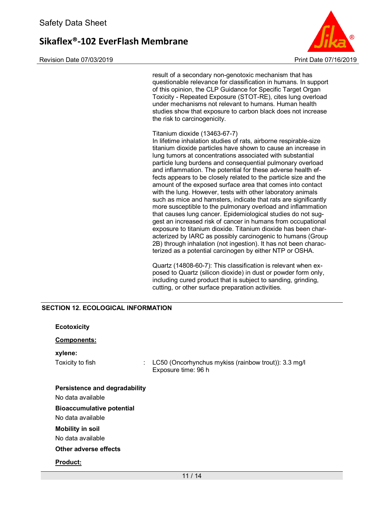Revision Date 07/03/2019 Print Date 07/16/2019



result of a secondary non-genotoxic mechanism that has questionable relevance for classification in humans. In support of this opinion, the CLP Guidance for Specific Target Organ Toxicity - Repeated Exposure (STOT-RE), cites lung overload under mechanisms not relevant to humans. Human health studies show that exposure to carbon black does not increase the risk to carcinogenicity.

#### Titanium dioxide (13463-67-7)

In lifetime inhalation studies of rats, airborne respirable-size titanium dioxide particles have shown to cause an increase in lung tumors at concentrations associated with substantial particle lung burdens and consequential pulmonary overload and inflammation. The potential for these adverse health effects appears to be closely related to the particle size and the amount of the exposed surface area that comes into contact with the lung. However, tests with other laboratory animals such as mice and hamsters, indicate that rats are significantly more susceptible to the pulmonary overload and inflammation that causes lung cancer. Epidemiological studies do not suggest an increased risk of cancer in humans from occupational exposure to titanium dioxide. Titanium dioxide has been characterized by IARC as possibly carcinogenic to humans (Group 2B) through inhalation (not ingestion). It has not been characterized as a potential carcinogen by either NTP or OSHA.

Quartz (14808-60-7): This classification is relevant when exposed to Quartz (silicon dioxide) in dust or powder form only, including cured product that is subject to sanding, grinding, cutting, or other surface preparation activities.

#### **SECTION 12. ECOLOGICAL INFORMATION**

| <b>Ecotoxicity</b>               |                                                                             |
|----------------------------------|-----------------------------------------------------------------------------|
| <b>Components:</b>               |                                                                             |
| xylene:                          |                                                                             |
| Toxicity to fish<br>÷            | LC50 (Oncorhynchus mykiss (rainbow trout)): 3.3 mg/l<br>Exposure time: 96 h |
| Persistence and degradability    |                                                                             |
| No data available                |                                                                             |
| <b>Bioaccumulative potential</b> |                                                                             |
| No data available                |                                                                             |
| <b>Mobility in soil</b>          |                                                                             |
| No data available                |                                                                             |
| Other adverse effects            |                                                                             |
| <b>Product:</b>                  |                                                                             |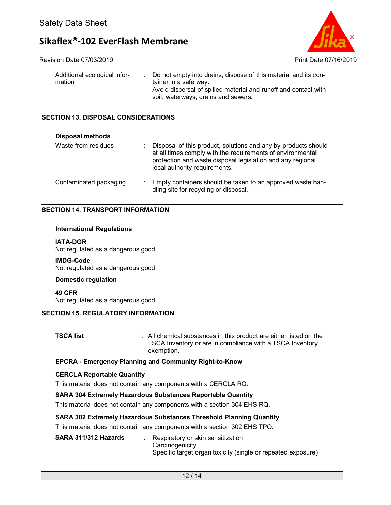Revision Date 07/03/2019 Print Date 07/16/2019



| Additional ecological infor-<br>mation | : Do not empty into drains; dispose of this material and its con-<br>tainer in a safe way.<br>Avoid dispersal of spilled material and runoff and contact with<br>soil, waterways, drains and sewers. |
|----------------------------------------|------------------------------------------------------------------------------------------------------------------------------------------------------------------------------------------------------|
|                                        |                                                                                                                                                                                                      |

### **SECTION 13. DISPOSAL CONSIDERATIONS**

| <b>Disposal methods</b> |                                                                                                                                                                                                                             |  |
|-------------------------|-----------------------------------------------------------------------------------------------------------------------------------------------------------------------------------------------------------------------------|--|
| Waste from residues     | Disposal of this product, solutions and any by-products should<br>at all times comply with the requirements of environmental<br>protection and waste disposal legislation and any regional<br>local authority requirements. |  |
| Contaminated packaging  | Empty containers should be taken to an approved waste han-<br>dling site for recycling or disposal.                                                                                                                         |  |

### **SECTION 14. TRANSPORT INFORMATION**

#### **International Regulations**

#### **IATA-DGR**

Not regulated as a dangerous good

**IMDG-Code** Not regulated as a dangerous good

#### **Domestic regulation**

**49 CFR** Not regulated as a dangerous good

### **SECTION 15. REGULATORY INFORMATION**

# -

**TSCA list EXECA list 1 COLLEGAT CONGITER COLLEGAT CONGITER COLLEGAT CONGITER COLLEGAT CONGITER COLLEGAT CONGITER COLLEGAT CONGITER COLLEGAT CONGITER COLLEGAT CONGITER COLLEGAT CONGITER COLLEGAT CON** TSCA Inventory or are in compliance with a TSCA Inventory exemption.

### **EPCRA - Emergency Planning and Community Right-to-Know**

### **CERCLA Reportable Quantity**

This material does not contain any components with a CERCLA RQ.

### **SARA 304 Extremely Hazardous Substances Reportable Quantity**

This material does not contain any components with a section 304 EHS RQ.

### **SARA 302 Extremely Hazardous Substances Threshold Planning Quantity**

This material does not contain any components with a section 302 EHS TPQ.

| SARA 311/312 Hazards | Respiratory or skin sensitization<br>Carcinogenicity         |
|----------------------|--------------------------------------------------------------|
|                      | Specific target organ toxicity (single or repeated exposure) |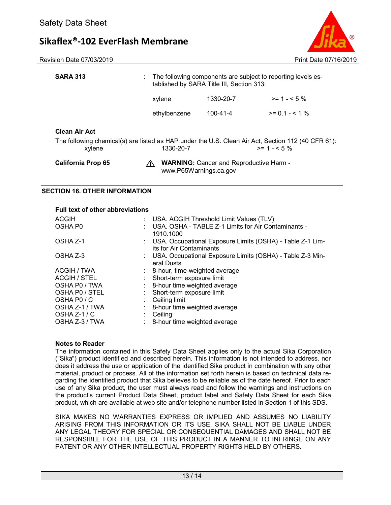Revision Date 07/03/2019 **Print Date 07/16/2019** Print Date 07/16/2019



|                                                                                                              | www.P65Warnings.ca.gov |                                                |                                                              |
|--------------------------------------------------------------------------------------------------------------|------------------------|------------------------------------------------|--------------------------------------------------------------|
| <b>California Prop 65</b>                                                                                    |                        | <b>WARNING:</b> Cancer and Reproductive Harm - |                                                              |
| The following chemical(s) are listed as HAP under the U.S. Clean Air Act, Section 112 (40 CFR 61):<br>xylene | 1330-20-7              |                                                | $>= 1 - 5%$                                                  |
| <b>Clean Air Act</b>                                                                                         |                        |                                                |                                                              |
|                                                                                                              | ethylbenzene           | $100 - 41 - 4$                                 | $>= 0.1 - 5.1 %$                                             |
|                                                                                                              | xylene                 | 1330-20-7                                      | $>= 1 - 5\%$                                                 |
| <b>SARA 313</b>                                                                                              |                        | tablished by SARA Title III, Section 313:      | The following components are subject to reporting levels es- |

# **SECTION 16. OTHER INFORMATION**

#### **Full text of other abbreviations**

| <b>ACGIH</b>   | : USA. ACGIH Threshold Limit Values (TLV)                                               |
|----------------|-----------------------------------------------------------------------------------------|
| OSHA P0        | : USA. OSHA - TABLE Z-1 Limits for Air Contaminants -<br>1910.1000                      |
| OSHA Z-1       | : USA. Occupational Exposure Limits (OSHA) - Table Z-1 Lim-<br>its for Air Contaminants |
| OSHA Z-3       | : USA. Occupational Exposure Limits (OSHA) - Table Z-3 Min-<br>eral Dusts               |
| ACGIH / TWA    | : 8-hour, time-weighted average                                                         |
| ACGIH / STEL   | Short-term exposure limit                                                               |
| OSHA P0 / TWA  | 8-hour time weighted average                                                            |
| OSHA PO / STEL | Short-term exposure limit                                                               |
| OSHA PO / C    | Ceiling limit                                                                           |
| OSHA Z-1 / TWA | : 8-hour time weighted average                                                          |
| OSHA Z-1 / C   | Ceiling                                                                                 |
| OSHA Z-3 / TWA | : 8-hour time weighted average                                                          |

#### **Notes to Reader**

The information contained in this Safety Data Sheet applies only to the actual Sika Corporation ("Sika") product identified and described herein. This information is not intended to address, nor does it address the use or application of the identified Sika product in combination with any other material, product or process. All of the information set forth herein is based on technical data regarding the identified product that Sika believes to be reliable as of the date hereof. Prior to each use of any Sika product, the user must always read and follow the warnings and instructions on the product's current Product Data Sheet, product label and Safety Data Sheet for each Sika product, which are available at web site and/or telephone number listed in Section 1 of this SDS.

SIKA MAKES NO WARRANTIES EXPRESS OR IMPLIED AND ASSUMES NO LIABILITY ARISING FROM THIS INFORMATION OR ITS USE. SIKA SHALL NOT BE LIABLE UNDER ANY LEGAL THEORY FOR SPECIAL OR CONSEQUENTIAL DAMAGES AND SHALL NOT BE RESPONSIBLE FOR THE USE OF THIS PRODUCT IN A MANNER TO INFRINGE ON ANY PATENT OR ANY OTHER INTELLECTUAL PROPERTY RIGHTS HELD BY OTHERS.